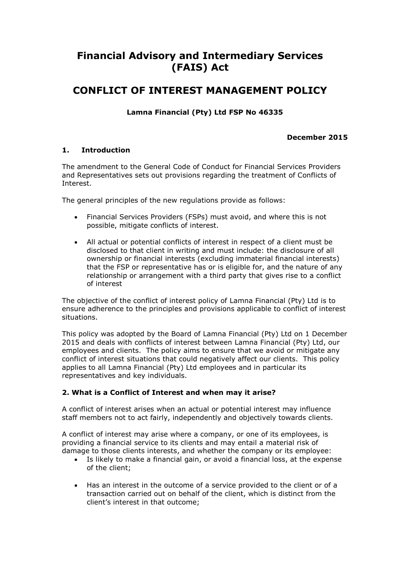# **Financial Advisory and Intermediary Services (FAIS) Act**

## **CONFLICT OF INTEREST MANAGEMENT POLICY**

**Lamna Financial (Pty) Ltd FSP No 46335**

### **December 2015**

## **1. Introduction**

The amendment to the General Code of Conduct for Financial Services Providers and Representatives sets out provisions regarding the treatment of Conflicts of Interest.

The general principles of the new regulations provide as follows:

- Financial Services Providers (FSPs) must avoid, and where this is not possible, mitigate conflicts of interest.
- All actual or potential conflicts of interest in respect of a client must be disclosed to that client in writing and must include: the disclosure of all ownership or financial interests (excluding immaterial financial interests) that the FSP or representative has or is eligible for, and the nature of any relationship or arrangement with a third party that gives rise to a conflict of interest

The objective of the conflict of interest policy of Lamna Financial (Pty) Ltd is to ensure adherence to the principles and provisions applicable to conflict of interest situations.

This policy was adopted by the Board of Lamna Financial (Pty) Ltd on 1 December 2015 and deals with conflicts of interest between Lamna Financial (Pty) Ltd, our employees and clients. The policy aims to ensure that we avoid or mitigate any conflict of interest situations that could negatively affect our clients. This policy applies to all Lamna Financial (Pty) Ltd employees and in particular its representatives and key individuals.

## **2. What is a Conflict of Interest and when may it arise?**

A conflict of interest arises when an actual or potential interest may influence staff members not to act fairly, independently and objectively towards clients.

A conflict of interest may arise where a company, or one of its employees, is providing a financial service to its clients and may entail a material risk of damage to those clients interests, and whether the company or its employee:

- Is likely to make a financial gain, or avoid a financial loss, at the expense of the client;
- Has an interest in the outcome of a service provided to the client or of a transaction carried out on behalf of the client, which is distinct from the client's interest in that outcome;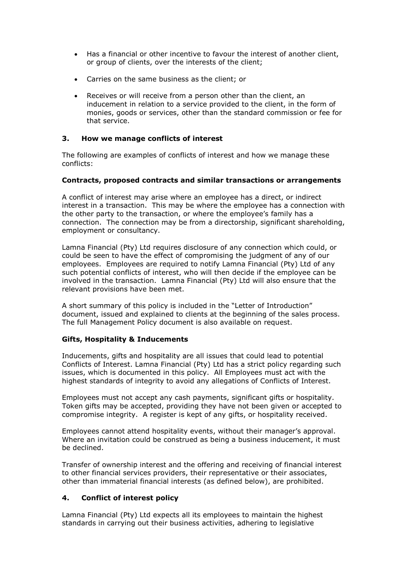- Has a financial or other incentive to favour the interest of another client, or group of clients, over the interests of the client;
- Carries on the same business as the client; or
- Receives or will receive from a person other than the client, an inducement in relation to a service provided to the client, in the form of monies, goods or services, other than the standard commission or fee for that service.

#### **3. How we manage conflicts of interest**

The following are examples of conflicts of interest and how we manage these conflicts:

#### **Contracts, proposed contracts and similar transactions or arrangements**

A conflict of interest may arise where an employee has a direct, or indirect interest in a transaction. This may be where the employee has a connection with the other party to the transaction, or where the employee's family has a connection. The connection may be from a directorship, significant shareholding, employment or consultancy.

Lamna Financial (Pty) Ltd requires disclosure of any connection which could, or could be seen to have the effect of compromising the judgment of any of our employees. Employees are required to notify Lamna Financial (Pty) Ltd of any such potential conflicts of interest, who will then decide if the employee can be involved in the transaction. Lamna Financial (Pty) Ltd will also ensure that the relevant provisions have been met.

A short summary of this policy is included in the "Letter of Introduction" document, issued and explained to clients at the beginning of the sales process. The full Management Policy document is also available on request.

#### **Gifts, Hospitality & Inducements**

Inducements, gifts and hospitality are all issues that could lead to potential Conflicts of Interest. Lamna Financial (Pty) Ltd has a strict policy regarding such issues, which is documented in this policy. All Employees must act with the highest standards of integrity to avoid any allegations of Conflicts of Interest.

Employees must not accept any cash payments, significant gifts or hospitality. Token gifts may be accepted, providing they have not been given or accepted to compromise integrity. A register is kept of any gifts, or hospitality received.

Employees cannot attend hospitality events, without their manager's approval. Where an invitation could be construed as being a business inducement, it must be declined.

Transfer of ownership interest and the offering and receiving of financial interest to other financial services providers, their representative or their associates, other than immaterial financial interests (as defined below), are prohibited.

## **4. Conflict of interest policy**

Lamna Financial (Pty) Ltd expects all its employees to maintain the highest standards in carrying out their business activities, adhering to legislative